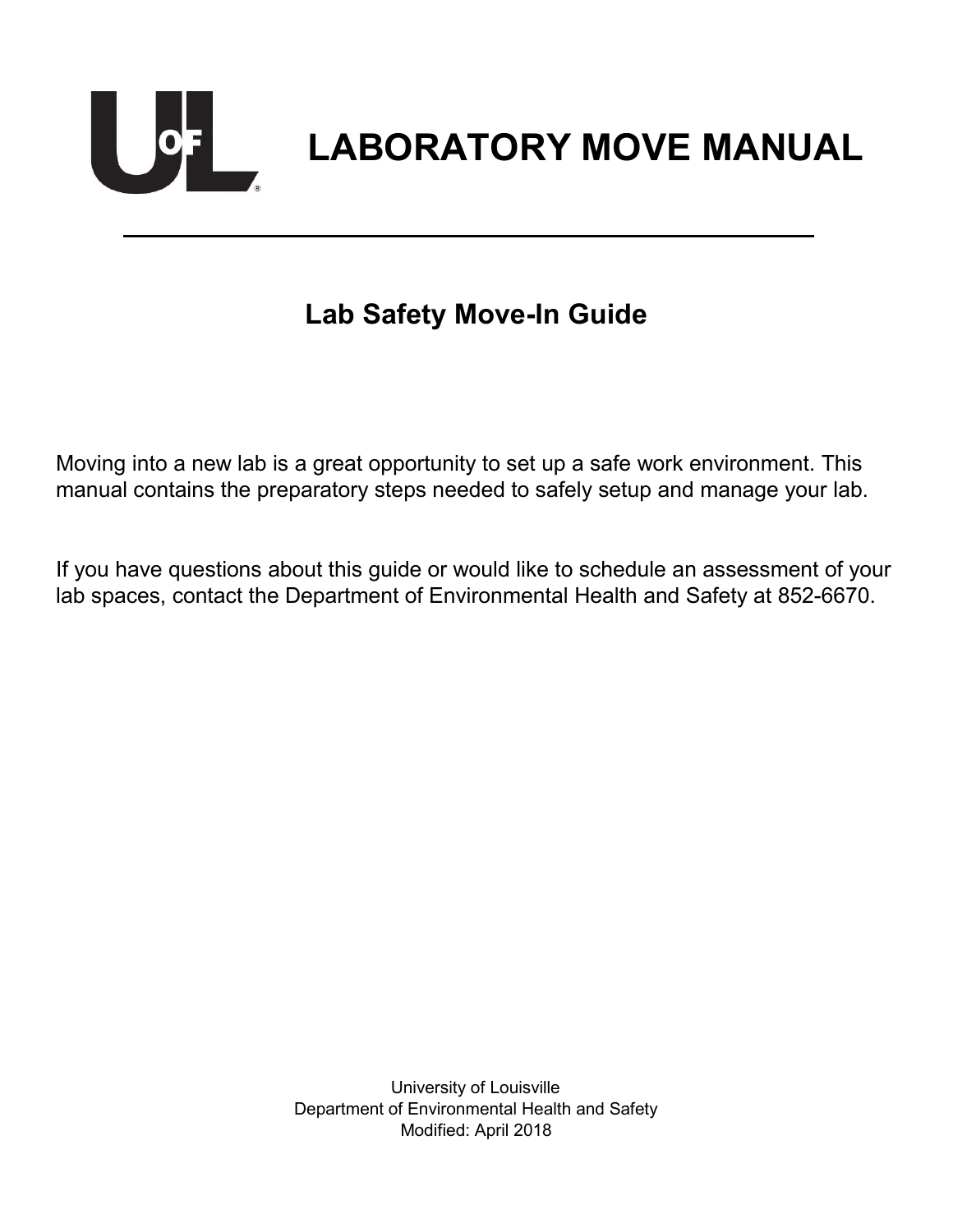

# **Lab Safety Move-In Guide**

Moving into a new lab is a great opportunity to set up a safe work environment. This manual contains the preparatory steps needed to safely setup and manage your lab.

If you have questions about this guide or would like to schedule an assessment of your lab spaces, contact the Department of Environmental Health and Safety at 852-6670.

> University of Louisville Department of Environmental Health and Safety Modified: April 2018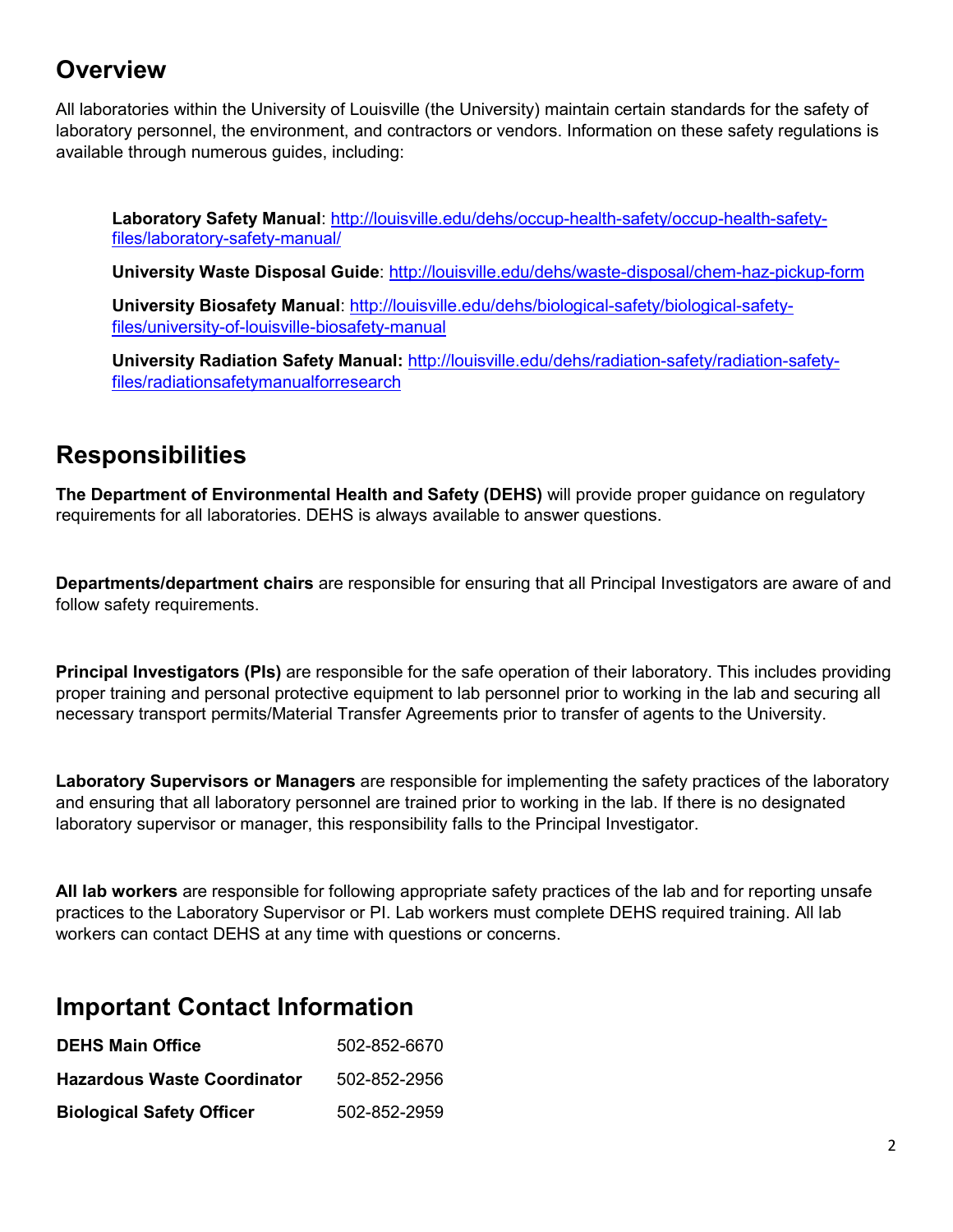# **Overview**

All laboratories within the University of Louisville (the University) maintain certain standards for the safety of laboratory personnel, the environment, and contractors or vendors. Information on these safety regulations is available through numerous guides, including:

**Laboratory Safety Manual**: [http://louisville.edu/dehs/occup-health-safety/occup-health-safety](http://louisville.edu/dehs/occup-health-safety/occup-health-safety-files/laboratory-safety-manual/)[files/laboratory-safety-manual/](http://louisville.edu/dehs/occup-health-safety/occup-health-safety-files/laboratory-safety-manual/) 

**University Waste Disposal Guide**:<http://louisville.edu/dehs/waste-disposal/chem-haz-pickup-form>

**University Biosafety Manual**: [http://louisville.edu/dehs/biological-safety/biological-safety](http://louisville.edu/dehs/biological-safety/biological-safety-files/university-of-louisville-biosafety-manual)[files/university-of-louisville-biosafety-manual](http://louisville.edu/dehs/biological-safety/biological-safety-files/university-of-louisville-biosafety-manual) 

**University Radiation Safety Manual:** [http://louisville.edu/dehs/radiation-safety/radiation-safety](http://louisville.edu/dehs/radiation-safety/radiation-safety-files/radiationsafetymanualforresearch)[files/radiationsafetymanualforresearch](http://louisville.edu/dehs/radiation-safety/radiation-safety-files/radiationsafetymanualforresearch) 

#### **Responsibilities**

**The Department of Environmental Health and Safety (DEHS)** will provide proper guidance on regulatory requirements for all laboratories. DEHS is always available to answer questions.

**Departments/department chairs** are responsible for ensuring that all Principal Investigators are aware of and follow safety requirements.

**Principal Investigators (PIs)** are responsible for the safe operation of their laboratory. This includes providing proper training and personal protective equipment to lab personnel prior to working in the lab and securing all necessary transport permits/Material Transfer Agreements prior to transfer of agents to the University.

**Laboratory Supervisors or Managers** are responsible for implementing the safety practices of the laboratory and ensuring that all laboratory personnel are trained prior to working in the lab. If there is no designated laboratory supervisor or manager, this responsibility falls to the Principal Investigator.

**All lab workers** are responsible for following appropriate safety practices of the lab and for reporting unsafe practices to the Laboratory Supervisor or PI. Lab workers must complete DEHS required training. All lab workers can contact DEHS at any time with questions or concerns.

#### **Important Contact Information**

| <b>DEHS Main Office</b>            | 502-852-6670 |
|------------------------------------|--------------|
| <b>Hazardous Waste Coordinator</b> | 502-852-2956 |
| <b>Biological Safety Officer</b>   | 502-852-2959 |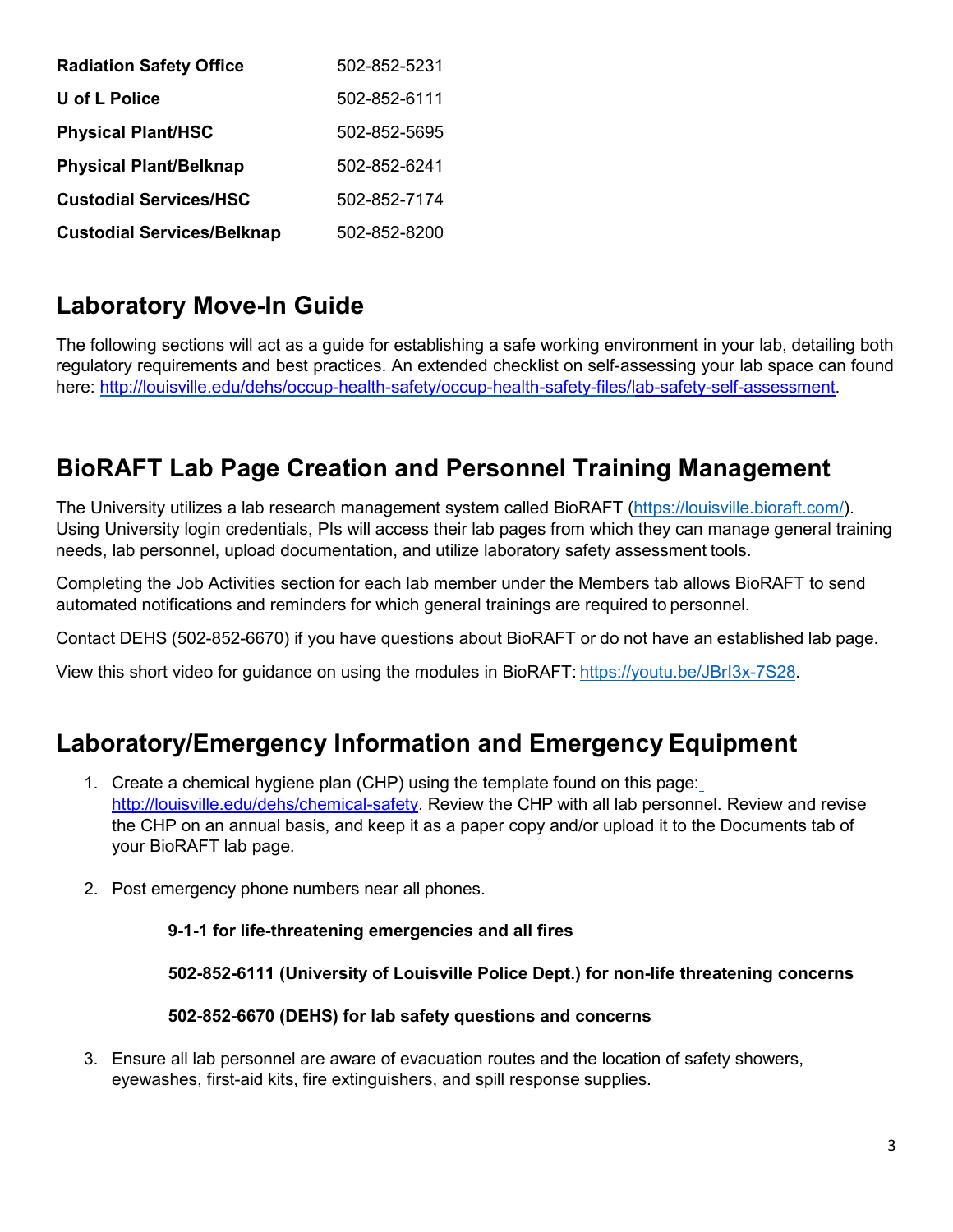| <b>Radiation Safety Office</b>    | 502-852-5231 |
|-----------------------------------|--------------|
| U of L Police                     | 502-852-6111 |
| <b>Physical Plant/HSC</b>         | 502-852-5695 |
| <b>Physical Plant/Belknap</b>     | 502-852-6241 |
| <b>Custodial Services/HSC</b>     | 502-852-7174 |
| <b>Custodial Services/Belknap</b> | 502-852-8200 |

# **Laboratory Move-In Guide**

The following sections will act as a guide for establishing a safe working environment in your lab, detailing both regulatory requirements and best practices. An extended checklist on self-assessing your lab space can found here: [http://louisville.edu/dehs/occup-health-safety/occup-health-safety-files/lab-safety-self-assessment.](http://louisville.edu/dehs/occup-health-safety/occup-health-safety-files/lab-safety-self-assessment)

# **BioRAFT Lab Page Creation and Personnel Training Management**

The University utilizes a lab research management system called BioRAFT [\(https://louisville.bioraft.com/\)](https://louisville.bioraft.com/). Using University login credentials, PIs will access their lab pages from which they can manage general training needs, lab personnel, upload documentation, and utilize laboratory safety assessment tools.

Completing the Job Activities section for each lab member under the Members tab allows BioRAFT to send automated notifications and reminders for which general trainings are required to personnel.

Contact DEHS (502-852-6670) if you have questions about BioRAFT or do not have an established lab page.

View this short video for guidance on using the modules in BioRAFT: [https://youtu.be/JBrI3x-7S28.](https://youtu.be/JBrI3x-7S28)

### **Laboratory/Emergency Information and Emergency Equipment**

- 1. Create a chemical hygiene plan (CHP) using the template found on this page: [http://louisville.edu/dehs/chemical-safety.](http://louisville.edu/dehs/chemical-safety) Review the CHP with all lab personnel. Review and revise the CHP on an annual basis, and keep it as a paper copy and/or upload it to the Documents tab of your BioRAFT lab page.
- 2. Post emergency phone numbers near all phones.

#### **9-1-1 for life-threatening emergencies and all fires**

**502-852-6111 (University of Louisville Police Dept.) for non-life threatening concerns** 

**502-852-6670 (DEHS) for lab safety questions and concerns**

3. Ensure all lab personnel are aware of evacuation routes and the location of safety showers, eyewashes, first-aid kits, fire extinguishers, and spill response supplies.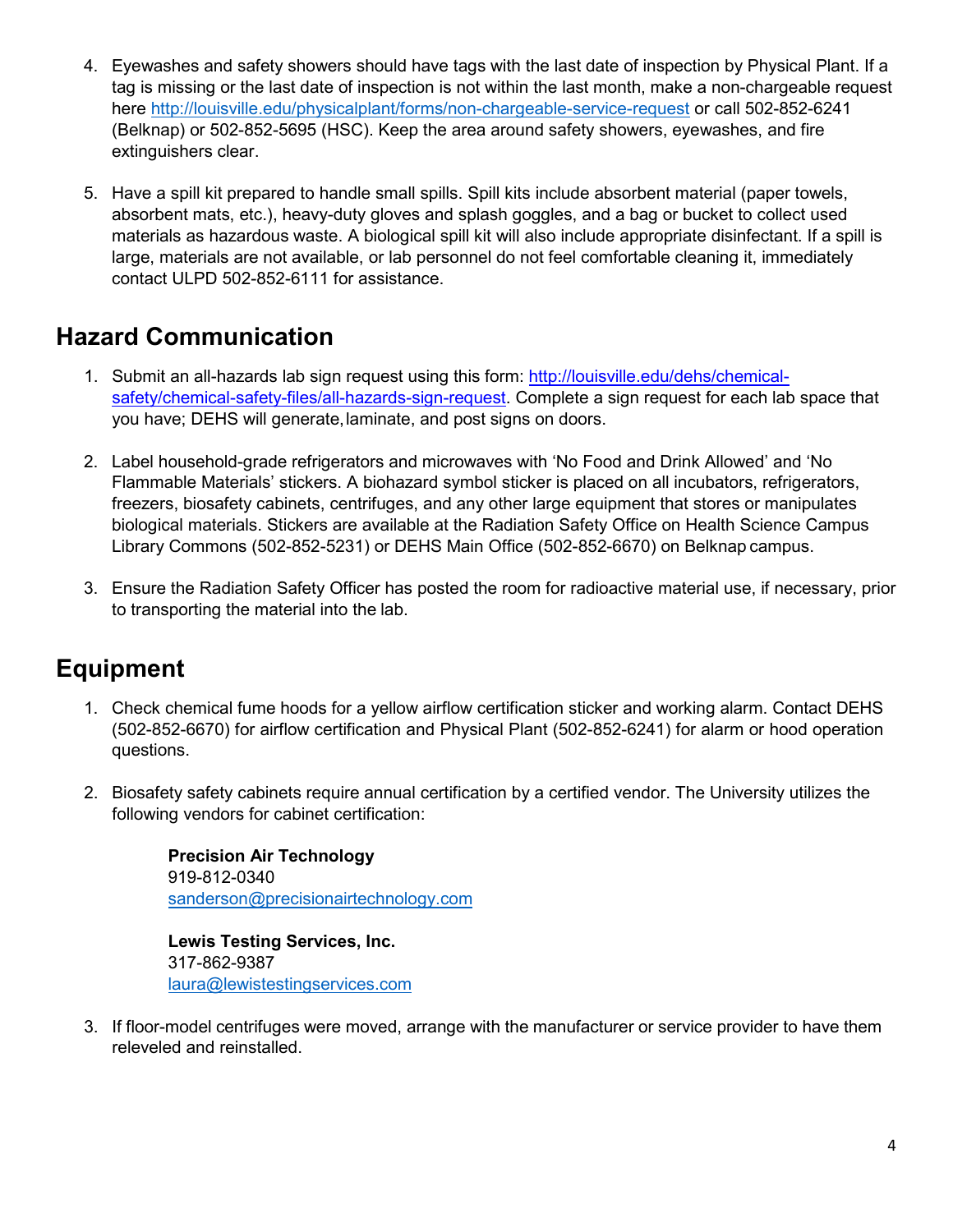- 4. Eyewashes and safety showers should have tags with the last date of inspection by Physical Plant. If a tag is missing or the last date of inspection is not within the last month, make a non-chargeable request here <http://louisville.edu/physicalplant/forms/non-chargeable-service-request> or call 502-852-6241 (Belknap) or 502-852-5695 (HSC). Keep the area around safety showers, eyewashes, and fire extinguishers clear.
- 5. Have a spill kit prepared to handle small spills. Spill kits include absorbent material (paper towels, absorbent mats, etc.), heavy-duty gloves and splash goggles, and a bag or bucket to collect used materials as hazardous waste. A biological spill kit will also include appropriate disinfectant. If a spill is large, materials are not available, or lab personnel do not feel comfortable cleaning it, immediately contact ULPD 502-852-6111 for assistance.

### **Hazard Communication**

- 1. Submit an all-hazards lab sign request using this form: [http://louisville.edu/dehs/chemical](http://louisville.edu/dehs/chemical-safety/chemical-safety-files/all-hazards-sign-request)[safety/chemical-safety-files/all-hazards-sign-request.](http://louisville.edu/dehs/chemical-safety/chemical-safety-files/all-hazards-sign-request) Complete a sign request for each lab space that you have; DEHS will generate,laminate, and post signs on doors.
- 2. Label household-grade refrigerators and microwaves with 'No Food and Drink Allowed' and 'No Flammable Materials' stickers. A biohazard symbol sticker is placed on all incubators, refrigerators, freezers, biosafety cabinets, centrifuges, and any other large equipment that stores or manipulates biological materials. Stickers are available at the Radiation Safety Office on Health Science Campus Library Commons (502-852-5231) or DEHS Main Office (502-852-6670) on Belknap campus.
- 3. Ensure the Radiation Safety Officer has posted the room for radioactive material use, if necessary, prior to transporting the material into the lab.

# **Equipment**

- 1. Check chemical fume hoods for a yellow airflow certification sticker and working alarm. Contact DEHS (502-852-6670) for airflow certification and Physical Plant (502-852-6241) for alarm or hood operation questions.
- 2. Biosafety safety cabinets require annual certification by a certified vendor. The University utilizes the following vendors for cabinet certification:

**Precision Air Technology** 919-812-0340 [sanderson@precisionairtechnology.com](mailto:sanderson@precisionairtechnology.com)

**Lewis Testing Services, Inc.** 317-862-9387 [laura@lewistestingservices.com](mailto:%20laura@lewistestingservices.com)

3. If floor-model centrifuges were moved, arrange with the manufacturer or service provider to have them releveled and reinstalled.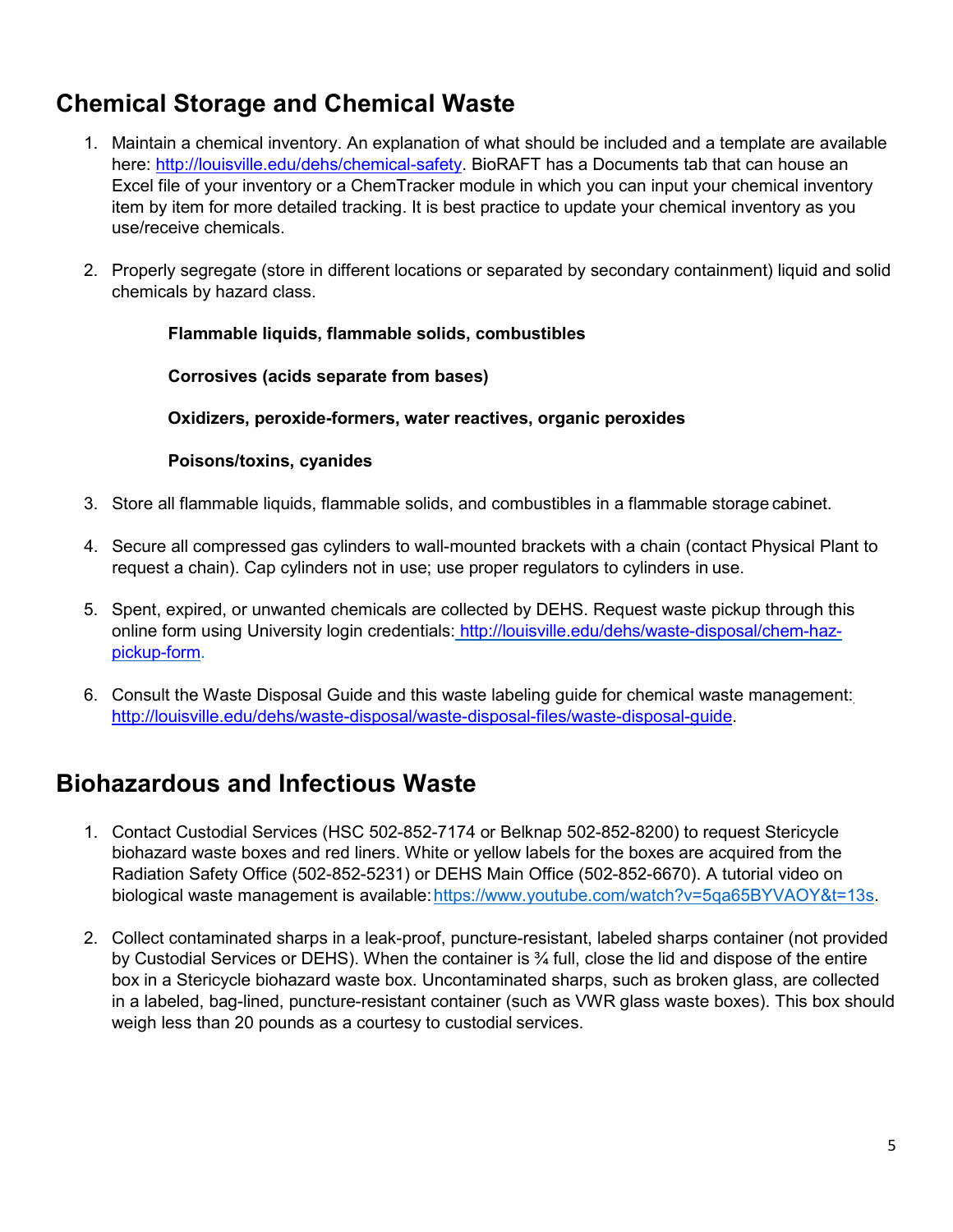### **Chemical Storage and Chemical Waste**

- 1. Maintain a chemical inventory. An explanation of what should be included and a template are available here: [http://louisville.edu/dehs/chemical-safety.](http://louisville.edu/dehs/chemical-safety) BioRAFT has a Documents tab that can house an Excel file of your inventory or a ChemTracker module in which you can input your chemical inventory item by item for more detailed tracking. It is best practice to update your chemical inventory as you use/receive chemicals.
- 2. Properly segregate (store in different locations or separated by secondary containment) liquid and solid chemicals by hazard class.

#### **Flammable liquids, flammable solids, combustibles**

**Corrosives (acids separate from bases)**

**Oxidizers, peroxide-formers, water reactives, organic peroxides** 

#### **Poisons/toxins, cyanides**

- 3. Store all flammable liquids, flammable solids, and combustibles in a flammable storage cabinet.
- 4. Secure all compressed gas cylinders to wall-mounted brackets with a chain (contact Physical Plant to request a chain). Cap cylinders not in use; use proper regulators to cylinders in use.
- 5. Spent, expired, or unwanted chemicals are collected by DEHS. Request waste pickup through this online form using University login credentials: [http://louisville.edu/dehs/waste-disposal/chem-haz](http://louisville.edu/dehs/waste-disposal/chem-haz-pickup-form)[pickup-form.](http://louisville.edu/dehs/waste-disposal/chem-haz-pickup-form)
- 6. Consult the Waste Disposal Guide and this waste labeling guide for chemical waste management: [http://louisville.edu/dehs/waste-disposal/waste-disposal-files/waste-disposal-guide.](http://louisville.edu/dehs/waste-disposal/waste-disposal-files/waste-disposal-guide)

#### **Biohazardous and Infectious Waste**

- 1. Contact Custodial Services (HSC 502-852-7174 or Belknap 502-852-8200) to request Stericycle biohazard waste boxes and red liners. White or yellow labels for the boxes are acquired from the Radiation Safety Office (502-852-5231) or DEHS Main Office (502-852-6670). A tutorial video on biological waste management is available: https://www.youtube.com/watch?v=5qa65BYVAOY&t=13s.
- 2. Collect contaminated sharps in a leak-proof, puncture-resistant, labeled sharps container (not provided by Custodial Services or DEHS). When the container is ¾ full, close the lid and dispose of the entire box in a Stericycle biohazard waste box. Uncontaminated sharps, such as broken glass, are collected in a labeled, bag-lined, puncture-resistant container (such as VWR glass waste boxes). This box should weigh less than 20 pounds as a courtesy to custodial services.